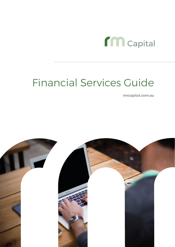

**rmcapital.com.au**

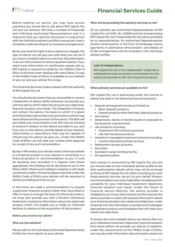Before seeking our advice, you may have several questions you would like to ask about RM Capital Pty Ltd and our advisers. We have a number of Corporate and Individual Authorised Representatives and it is important that you read this document in conjunction with the individual adviser's profile to ensure you have a complete understanding of our business arrangements.

By law you have the right to ask us about our charges, the type of advice we will give you and what you can do if you have a complaint about our services. Key information is set out with answers to various questions below. If you need more information or clarification, please ask us. RM Capital is required to abide by the FASEA Code of Ethics at all times when dealing with retail clients. A copy of the FASEA Code of Ethics is available on our website or you can ask your adviser for a copy.

This Financial Services Guide is issued with the authority of RM Capital Pty Ltd.

You should also be aware that you are entitled to receive a Statement of Advice (SOA) whenever we provide you with any advice which takes into account your objectives, financial situation and needs. The Statement of Advice will contain the advice, the basis on which it is given and information about fees and associations which may have influenced the provision of the advice. The SOA will also detail any remuneration that RM may be entitled to receive in relation to the advice provided to you and if you act on the advice, provide details of any interests, relationships or associations that may be capable of influencing the advice we give you. Under the FASEA Code of Ethics we will seek your written prior approval on receipt of any such remuneration.

By law, if RM and/or your adviser holds a financial interest in a financial product or any interest or ownership in a financial product or recommendation to you, it must be declared and recorded in a register and where appropriate, this holding will be disclosed to you in the SOA or ROA. Where such holding is material or will create a potential conflict of interest please note that under the FASEA Code of Ethics your adviser will be required to decline providing services to you.

In the event we make a recommendation to acquire a particular financial product (other than securities) or offer to issue or arrange the issue of a financial product, we must also provide you with a Product Disclosure Statement containing information about the particular product which will enable you to make an informed decision in relation to the acquisition of that product.

#### **Before you receive our advice**

#### Who are the advisers?

Please refer to the individual Authorised Representative Profiles for more details on your adviser.

#### Who will be providing the advisory services to me?

All our advisers are Authorised Representatives of RM Capital Pty Ltd AFSL No. 221938 and the licensee being RM Capital Pty Ltd is responsible for the advice provided by its representatives. All Authorised Representatives receive remuneration in the form of brokerage, bonus payments or alternative remuneration and details of all fee arrangements will be included in the individual adviser profiles.

#### Lack of Independence

RM Capital Pty Ltd is not independent, impartial or unbiased because we receive commissions for the advice we provide on life risk insurance products.

#### What advisory services are available to me?

RM Capital Pty Ltd is authorised under the licence to advise and deal in the following financial products:

- Deposit and payment products limited to:
	- Basic deposit products;
	- Deposit products other than basic deposit products;
- Derivatives
- Debentures, stocks or bonds issued or proposed to be issued by a government
- Life products including;
	- Investment life insurance products
	- Life risk insurance products
- $\bullet$  Interests in managed investment schemes including:
	- Investor directed portfolio services;
- Retirement savings accounts
- **Securities**
- Standard margin lending facility
- All superannuation

Each adviser is authorised by RM Capital Pty Ltd and you should refer to their individual adviser profile to see their authorisation details which may not be as broad as those of RM Capital Pty Ltd. When providing you with these advisory services, we act on your behalf. Product recommendations are only made after considering their suitability for your individual investment objectives, financial situation and needs. Under the Future of Financial Advice Reforms, the advice provider is obligated to act in your best interest and this requires the advice provider to collect all required information about your financial situation and needs and objectives, make enquiries into the information provided and investigate appropriate products and strategies that will meet your needs and objectives.

To ensure the most suitable advice we need to find out your individual investment objectives, financial situation and needs before we provide our advice. In addition, under the requirements of the FASEA Code of Ethics we may also seek information about broader needs and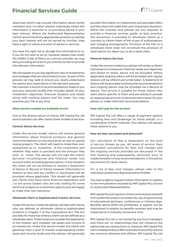

objectives which may include information about family members and / or other relevant individuals where this information is essential to us providing advice in your best interest. Where the Authorised Representative cannot recommend any appropriate products or advises your best interest will not be served by him/her, they have a right to refuse provision of advice or services.

You have the right not to divulge this information to us, if you do not wish to do so. However please note under the FASEA Code of Ethics as a service provider we may deny providing services to you should you fail to provide this relevant information.

We will explain to you any significant risks of investments and strategies that we recommend to you. As part of this process we may seek to ensure you clearly understand the advice and implications of the decision process.

We maintain a record of recommendations made to you and your personal profile that includes details of your investment objectives, financial situation and needs along with working papers and file notes. You may examine your file at any time.

#### **What service models are available to me?**

Due to the diverse nature of clients, RM Capital Pty Ltd and its advisers can offer clients three models of services.

#### General Advice Services

Under this service model, clients will receive general information about financial products and general recommendations on top stock picks as well as capital raising projects. The client will need to make their own assessment as to suitability of the investment and whether they want to proceed and the amount they wish to invest. The adviser will not take the clients personal circumstances and financial needs into account when providing general advice. In this situation the client will not be entitled to receive a Statement of Advice or Record of Advice however information in relation to fees and any conflict or disclosures will be provided where applicable. This model will generally suit clients who have some financial experience and / or are active traders who are only looking for some technical analysis on investment options and are happy to make their own decisions.

#### Wholesale Client or Sophisticated Investor Services

Under this service model the adviser will deal with clients who are defined as wholesale clients or sophisticated investors in Chapter 7 of the Corporations Act. The Act provides for instances where a client can be defined as a wholesale client. These instances consider the experience of the investor, sum invested, net assets and income of an investor etc. Under this service model, the clients will generally have a level of market understanding and/or asset and income levels and the adviser will generally

provide information on investments and excluded offers and the client will make their own investment decisions. While the licensee and adviser are not required to provide a financial services guide, as best practice, this document is provided to wholesale clients as a courtesy to inform them of the scope of authorisations and charging arrangements. Provision of the FSG to a wholesale client does not constitute the provision of retail advice nor deem you to be a retail client.

#### Personal Advice Services

Under this service model your adviser will review a client's individual circumstances, financial needs and objectives and based on these, advice will be provided. Where applicable ongoing advice will be provided and regular reviews will be offered and undertaken. A Statement of Advice will be provided outlining the recommendations and ongoing advice may be provided via a Record of Advice. This service is suitable for those clients who want advice specific to them and are willing to provide an appropriate amount of personal information for your adviser to make informed recommendations.

#### **How will I pay for the service?**

RM Capital Pty Ltd offers a range of payment options including fees and brokerage on funds placed, or a combination of both methods. Your adviser will explain these options to you.

### How are fees calculated and deducted?

Our calculation of fees is dependent on the level of service chosen by you. All levels of service, their associated calculations for fees and charges and the ongoing services provided are discussed in the first meeting and subsequently disclosed, prior to implementation of any recommendations, in the advice documents for retail clients.

*For a list of fees and charges, please refer to the individual Authorised Representative Profiles.*

You have a right to request further information in relation to the remuneration received by RM Capital Pty Ltd and its Authorised Representatives.

RM Capital Pty Ltd may from time to time receive a benefit from preferred product providers by way of sponsorship of educational seminars, conferences or training days. Benefits above \$300 are prohibited. A register will be maintained in relation to benefits received and may be inspected at a mutually convenient time.

RM Capital Pty Ltd is not owned by any fund managers and there are no relationships that will influence the advice that you receive from us. However, RM Capital Pty Ltd is a related entity to RM Corporate Finance Pty Ltd and has common directors and officers. RM Capital Pty Ltd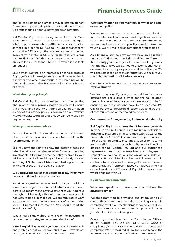and/or its directors and officers may ultimately benefit from services provided by RM Corporate Finance Pty Ltd via profit sharing or bonus payment arrangements.

RM Capital Pty Ltd has an agreement with FinClear Executions Ltd (FinEx) & CMC Markets Stockbroking Ltd (CMC) to provide execution, settlement and sponsorship services. In order for RM Capital Pty Ltd to transact for you on the ASX or any other market you must open an account with FinEx or CMC. All costs, fees, brokerage paid to FinEx or CMC that are charged to your account are detailed in FinEx and CMC's FSG which is available on request.

Your adviser may hold an interest in a financial product. Any significant interest/ownership will be recorded in a register and where appropriate, this holding will be disclosed to you in the Statement of Advice or Record of Advice.

#### **What about your privacy?**

RM Capital Pty Ltd is committed to implementing and promoting a privacy policy, which will ensure the privacy and security of your personal information. A copy of our privacy policy is available on our website www.rmcapital.com.au and a copy can be mailed on request at any time.

#### **When you receive our advice**

Do I receive detailed information about actual fees and other benefits my adviser receives from making the recommendations?

Yes. You have the right to know the details of fees and other benefits your adviser receives for recommending investments. All fees and other benefits received by your adviser as a result of providing advice are clearly detailed in writing. A Statement of Advice will also be given to you in writing at the time the advice is given.

# Will you give me advice that is suitable to my investment needs and financial circumstances?

Yes. However, to do so we need to find out your individual investment objectives, financial situation and needs before we recommend any investment to you. You have the right not to divulge this information to us if you do not wish to do so. In that case, we are required to warn you about the possible consequences of us not having your full personal information. You should read the warnings carefully.

What should I know about any risks of the investments or investment strategies recommended to me?

We will explain to you any significant risks of investments and strategies that we recommend to you. If we do not do so, you should ask us for further clarification.

# What information do you maintain in my file and can I examine my file?

We maintain a record of your personal profile that includes details of your investment objectives, financial situation and needs. We also maintain records of any recommendations made to you. If you wish to examine your file, we will make arrangements for you to do so.

As a financial service provider, we have an obligation under the Anti Money Laundering and Counter Terrorism Act to verify your identity and the source of any funds. This means that we will ask you to present identification documents such as passports and driver's licence. We will also retain copies of this information. We assure you that this information will be held securely.

# Can I tell you how I wish to instruct you to buy or sell my investment?

Yes. You may specify how you would like to give us instructions. For example, by telephone, fax or other means, however, in all cases you are responsible for ensuring your instructions have been received. RM Capital Pty Ltd cannot be held responsible for disruption of communication or technological services.

### Compensation Arrangements / Professional Indemnity

RM Capital Pty Ltd confirms that it has arrangements in place to ensure it continues to maintain Professional Indemnity Insurance in accordance with s.912B of the Corporations Act 2001 (as amended). In particular our Professional Indemnity insurance, subject to its terms and conditions, provide indemnity up to the Sum insured for RM Capital Pty Ltd and our authorised representatives / representatives / employees in respect of our authorisations and obligations under our Australian Financial Services Licence. This insurance will continue to provide such coverage for any authorised representatives / representatives / employee who has ceased work with RM Capital Pty Ltd for work done whilst engaged with us.

### **If you have any complaints**

# Who can I speak to if I have a complaint about the advisory service?

We are committed to providing quality advice to our clients. This commitment extends to providing accessible complaint resolution mechanisms for our clients. If you have any complaint about the service provided to you, you should take the following steps:

Contact your adviser or the Compliance Officer at RM Capital Pty Ltd on +61 8 6380 9200 or compliance@rmcapital.com.au and tell us about your complaint. We are required at law to try and resolve the issue quickly and fairly within 30 days from the receipt of